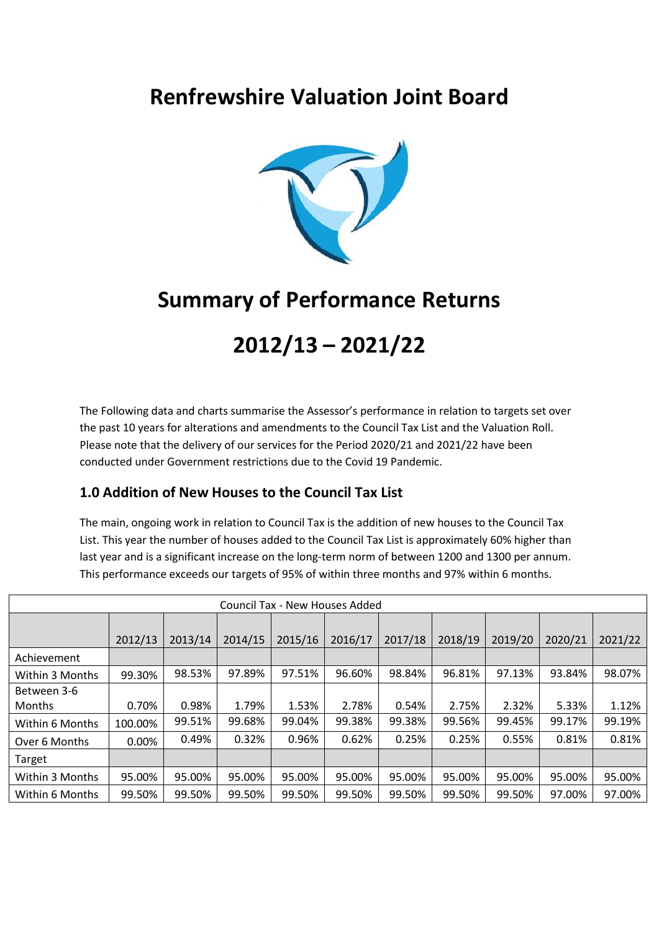## **Renfrewshire Valuation Joint Board**



## **Summary of Performance Returns**

# **2012/13 – 2021/22**

The Following data and charts summarise the Assessor's performance in relation to targets set over the past 10 years for alterations and amendments to the Council Tax List and the Valuation Roll. Please note that the delivery of our services for the Period 2020/21 and 2021/22 have been conducted under Government restrictions due to the Covid 19 Pandemic.

### **1.0 Addition of New Houses to the Council Tax List**

The main, ongoing work in relation to Council Tax is the addition of new houses to the Council Tax List. This year the number of houses added to the Council Tax List is approximately 60% higher than last year and is a significant increase on the long-term norm of between 1200 and 1300 per annum. This performance exceeds our targets of 95% of within three months and 97% within 6 months.

| Council Tax - New Houses Added |          |         |         |         |         |         |         |         |         |         |
|--------------------------------|----------|---------|---------|---------|---------|---------|---------|---------|---------|---------|
|                                |          |         |         |         |         |         |         |         |         |         |
|                                | 2012/13  | 2013/14 | 2014/15 | 2015/16 | 2016/17 | 2017/18 | 2018/19 | 2019/20 | 2020/21 | 2021/22 |
| Achievement                    |          |         |         |         |         |         |         |         |         |         |
| Within 3 Months                | 99.30%   | 98.53%  | 97.89%  | 97.51%  | 96.60%  | 98.84%  | 96.81%  | 97.13%  | 93.84%  | 98.07%  |
| Between 3-6                    |          |         |         |         |         |         |         |         |         |         |
| Months                         | 0.70%    | 0.98%   | 1.79%   | 1.53%   | 2.78%   | 0.54%   | 2.75%   | 2.32%   | 5.33%   | 1.12%   |
| Within 6 Months                | 100.00%  | 99.51%  | 99.68%  | 99.04%  | 99.38%  | 99.38%  | 99.56%  | 99.45%  | 99.17%  | 99.19%  |
| Over 6 Months                  | $0.00\%$ | 0.49%   | 0.32%   | 0.96%   | 0.62%   | 0.25%   | 0.25%   | 0.55%   | 0.81%   | 0.81%   |
| Target                         |          |         |         |         |         |         |         |         |         |         |
| Within 3 Months                | 95.00%   | 95.00%  | 95.00%  | 95.00%  | 95.00%  | 95.00%  | 95.00%  | 95.00%  | 95.00%  | 95.00%  |
| Within 6 Months                | 99.50%   | 99.50%  | 99.50%  | 99.50%  | 99.50%  | 99.50%  | 99.50%  | 99.50%  | 97.00%  | 97.00%  |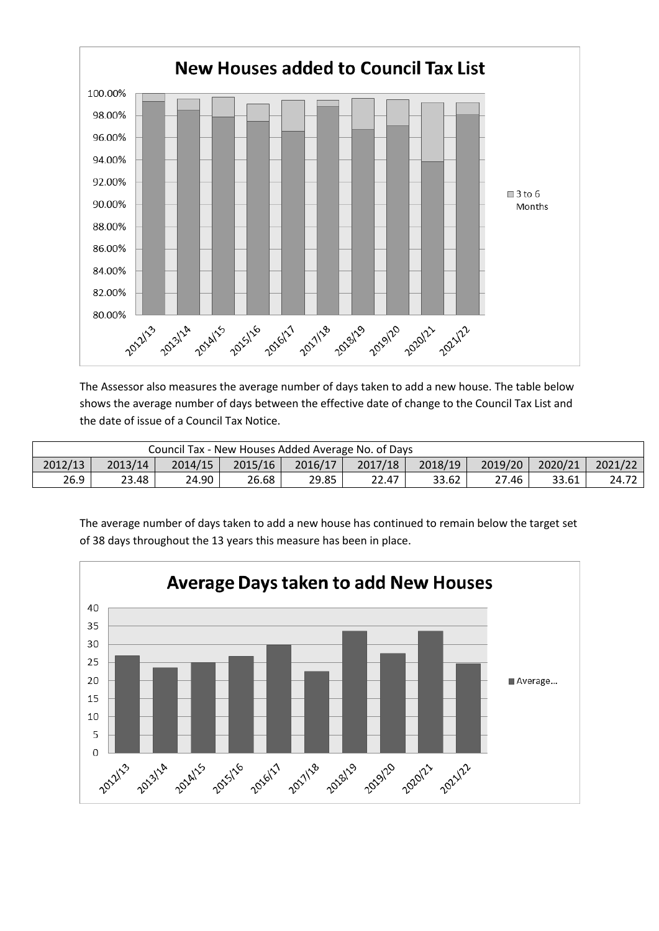

The Assessor also measures the average number of days taken to add a new house. The table below shows the average number of days between the effective date of change to the Council Tax List and the date of issue of a Council Tax Notice.

| Council Tax - New Houses Added Average No. of Days |         |         |         |         |         |         |         |         |         |
|----------------------------------------------------|---------|---------|---------|---------|---------|---------|---------|---------|---------|
| 2012/13                                            | 2013/14 | 2014/15 | 2015/16 | 2016/17 | 2017/18 | 2018/19 | 2019/20 | 2020/21 | 2021/22 |
| 26.9                                               | 23.48   | 24.90   | 26.68   | 29.85   | 22.47   | 33.62   | 27.46   | 33.61   | 24.72   |

The average number of days taken to add a new house has continued to remain below the target set of 38 days throughout the 13 years this measure has been in place.

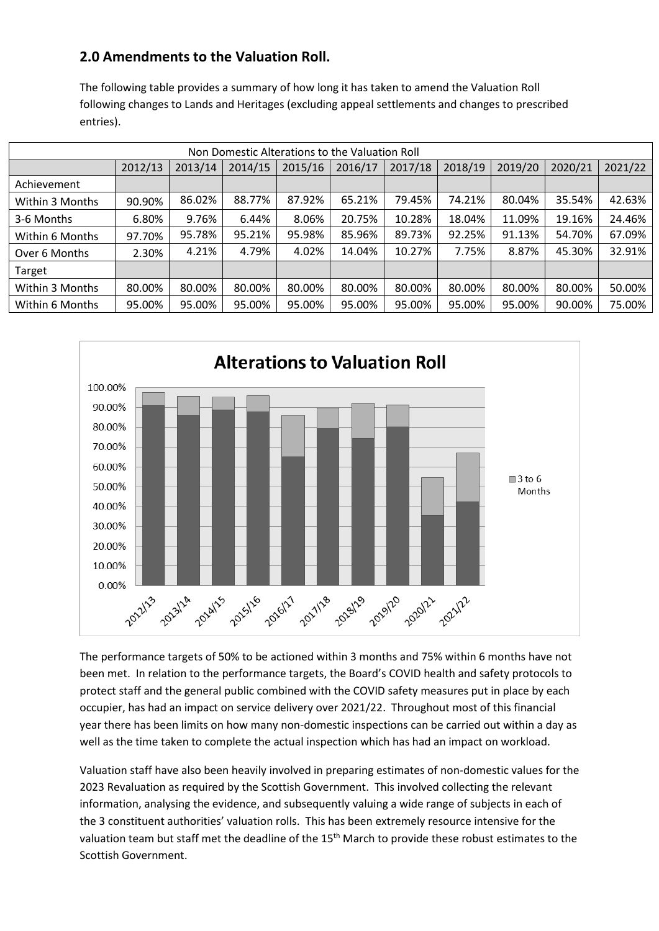### **2.0 Amendments to the Valuation Roll.**

The following table provides a summary of how long it has taken to amend the Valuation Roll following changes to Lands and Heritages (excluding appeal settlements and changes to prescribed entries).

| Non Domestic Alterations to the Valuation Roll |         |         |         |         |         |         |         |         |         |         |
|------------------------------------------------|---------|---------|---------|---------|---------|---------|---------|---------|---------|---------|
|                                                | 2012/13 | 2013/14 | 2014/15 | 2015/16 | 2016/17 | 2017/18 | 2018/19 | 2019/20 | 2020/21 | 2021/22 |
| Achievement                                    |         |         |         |         |         |         |         |         |         |         |
| Within 3 Months                                | 90.90%  | 86.02%  | 88.77%  | 87.92%  | 65.21%  | 79.45%  | 74.21%  | 80.04%  | 35.54%  | 42.63%  |
| 3-6 Months                                     | 6.80%   | 9.76%   | 6.44%   | 8.06%   | 20.75%  | 10.28%  | 18.04%  | 11.09%  | 19.16%  | 24.46%  |
| Within 6 Months                                | 97.70%  | 95.78%  | 95.21%  | 95.98%  | 85.96%  | 89.73%  | 92.25%  | 91.13%  | 54.70%  | 67.09%  |
| Over 6 Months                                  | 2.30%   | 4.21%   | 4.79%   | 4.02%   | 14.04%  | 10.27%  | 7.75%   | 8.87%   | 45.30%  | 32.91%  |
| Target                                         |         |         |         |         |         |         |         |         |         |         |
| Within 3 Months                                | 80.00%  | 80.00%  | 80.00%  | 80.00%  | 80.00%  | 80.00%  | 80.00%  | 80.00%  | 80.00%  | 50.00%  |
| Within 6 Months                                | 95.00%  | 95.00%  | 95.00%  | 95.00%  | 95.00%  | 95.00%  | 95.00%  | 95.00%  | 90.00%  | 75.00%  |



The performance targets of 50% to be actioned within 3 months and 75% within 6 months have not been met. In relation to the performance targets, the Board's COVID health and safety protocols to protect staff and the general public combined with the COVID safety measures put in place by each occupier, has had an impact on service delivery over 2021/22. Throughout most of this financial year there has been limits on how many non-domestic inspections can be carried out within a day as well as the time taken to complete the actual inspection which has had an impact on workload.

Valuation staff have also been heavily involved in preparing estimates of non-domestic values for the 2023 Revaluation as required by the Scottish Government. This involved collecting the relevant information, analysing the evidence, and subsequently valuing a wide range of subjects in each of the 3 constituent authorities' valuation rolls. This has been extremely resource intensive for the valuation team but staff met the deadline of the 15<sup>th</sup> March to provide these robust estimates to the Scottish Government.